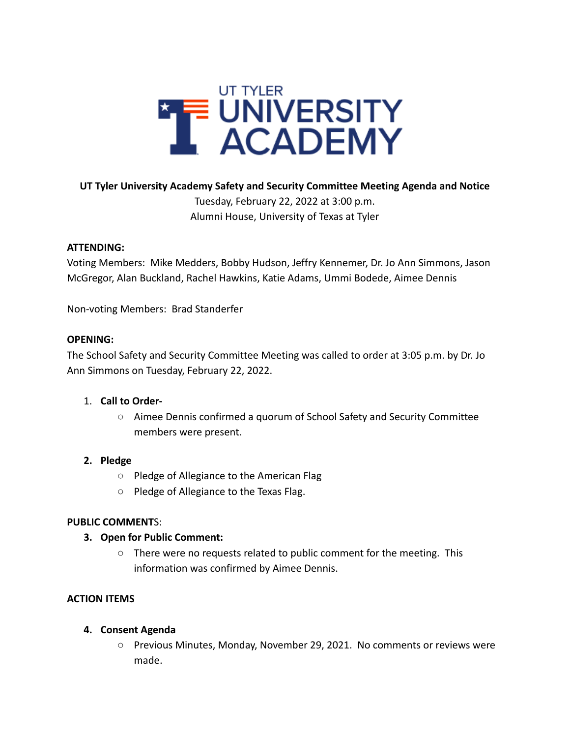

#### **UT Tyler University Academy Safety and Security Committee Meeting Agenda and Notice**

Tuesday, February 22, 2022 at 3:00 p.m. Alumni House, University of Texas at Tyler

#### **ATTENDING:**

Voting Members: Mike Medders, Bobby Hudson, Jeffry Kennemer, Dr. Jo Ann Simmons, Jason McGregor, Alan Buckland, Rachel Hawkins, Katie Adams, Ummi Bodede, Aimee Dennis

Non-voting Members: Brad Standerfer

#### **OPENING:**

The School Safety and Security Committee Meeting was called to order at 3:05 p.m. by Dr. Jo Ann Simmons on Tuesday, February 22, 2022.

### 1. **Call to Order-**

○ Aimee Dennis confirmed a quorum of School Safety and Security Committee members were present.

### **2. Pledge**

- Pledge of Allegiance to the American Flag
- Pledge of Allegiance to the Texas Flag.

### **PUBLIC COMMENT**S:

#### **3. Open for Public Comment:**

○ There were no requests related to public comment for the meeting. This information was confirmed by Aimee Dennis.

### **ACTION ITEMS**

### **4. Consent Agenda**

○ Previous Minutes, Monday, November 29, 2021. No comments or reviews were made.